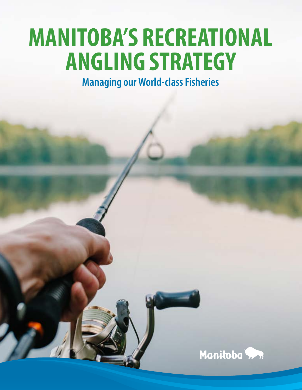# **MANITOBA'S RECREATIONAL ANGLING STRATEGY**

**Managing our World-class Fisheries**

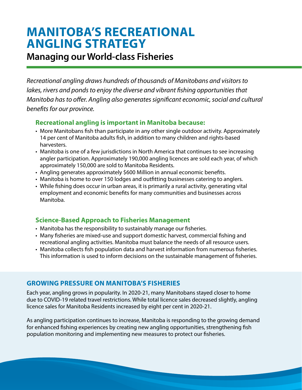# **MANITOBA'S RECREATIONAL ANGLING STRATEGY**

### **Managing our World-class Fisheries**

*Recreational angling draws hundreds of thousands of Manitobans and visitors to lakes, rivers and ponds to enjoy the diverse and vibrant fishing opportunities that Manitoba has to offer. Angling also generates significant economic, social and cultural benefits for our province.* 

### **Recreational angling is important in Manitoba because:**

- More Manitobans fish than participate in any other single outdoor activity. Approximately 14 per cent of Manitoba adults fish, in addition to many children and rights-based harvesters.
- Manitoba is one of a few jurisdictions in North America that continues to see increasing angler participation. Approximately 190,000 angling licences are sold each year, of which approximately 150,000 are sold to Manitoba Residents.
- Angling generates approximately \$600 Million in annual economic benefits.
- Manitoba is home to over 150 lodges and outfitting businesses catering to anglers.
- While fishing does occur in urban areas, it is primarily a rural activity, generating vital employment and economic benefits for many communities and businesses across Manitoba.

### **Science-Based Approach to Fisheries Management**

- Manitoba has the responsibility to sustainably manage our fisheries.
- Many fisheries are mixed-use and support domestic harvest, commercial fishing and recreational angling activities. Manitoba must balance the needs of all resource users.
- Manitoba collects fish population data and harvest information from numerous fisheries. This information is used to inform decisions on the sustainable management of fisheries.

### **GROWING PRESSURE ON MANITOBA'S FISHERIES**

Each year, angling grows in popularity. In 2020-21, many Manitobans stayed closer to home due to COVID-19 related travel restrictions. While total licence sales decreased slightly, angling licence sales for Manitoba Residents increased by eight per cent in 2020-21.

As angling participation continues to increase, Manitoba is responding to the growing demand for enhanced fishing experiences by creating new angling opportunities, strengthening fish population monitoring and implementing new measures to protect our fisheries.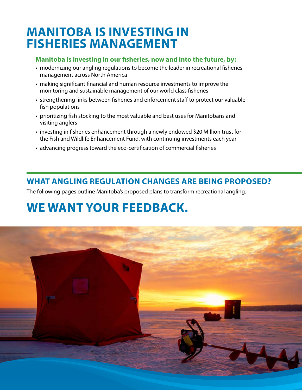# **MANITOBA IS INVESTING IN FISHERIES MANAGEMENT**

### **Manitoba is investing in our fisheries, now and into the future, by:**

- modernizing our angling regulations to become the leader in recreational fisheries management across North America
- making significant financial and human resource investments to improve the monitoring and sustainable management of our world class fisheries
- strengthening links between fisheries and enforcement staff to protect our valuable fish populations
- prioritizing fish stocking to the most valuable and best uses for Manitobans and visiting anglers
- investing in fisheries enhancement through a newly endowed \$20 Million trust for the Fish and Wildlife Enhancement Fund, with continuing investments each year
- advancing progress toward the eco-certification of commercial fisheries

### **WHAT ANGLING REGULATION CHANGES ARE BEING PROPOSED?**

The following pages outline Manitoba's proposed plans to transform recreational angling.

# **WE WANT YOUR FEEDBACK.**

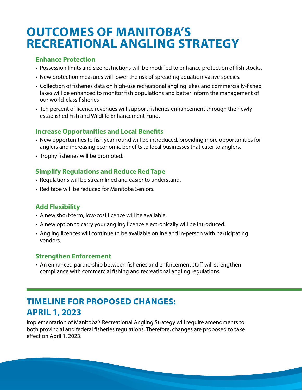# **OUTCOMES OF MANITOBA'S RECREATIONAL ANGLING STRATEGY**

### **Enhance Protection**

- Possession limits and size restrictions will be modified to enhance protection of fish stocks.
- New protection measures will lower the risk of spreading aquatic invasive species.
- Collection of fisheries data on high-use recreational angling lakes and commercially-fished lakes will be enhanced to monitor fish populations and better inform the management of our world-class fisheries
- Ten percent of licence revenues will support fisheries enhancement through the newly established Fish and Wildlife Enhancement Fund.

#### **Increase Opportunities and Local Benefits**

- New opportunities to fish year-round will be introduced, providing more opportunities for anglers and increasing economic benefits to local businesses that cater to anglers.
- Trophy fisheries will be promoted.

### **Simplify Regulations and Reduce Red Tape**

- Regulations will be streamlined and easier to understand.
- Red tape will be reduced for Manitoba Seniors.

### **Add Flexibility**

- A new short-term, low-cost licence will be available.
- A new option to carry your angling licence electronically will be introduced.
- Angling licences will continue to be available online and in-person with participating vendors.

### **Strengthen Enforcement**

• An enhanced partnership between fisheries and enforcement staff will strengthen compliance with commercial fishing and recreational angling regulations.

### **TIMELINE FOR PROPOSED CHANGES: APRIL 1, 2023**

Implementation of Manitoba's Recreational Angling Strategy will require amendments to both provincial and federal fisheries regulations. Therefore, changes are proposed to take effect on April 1, 2023.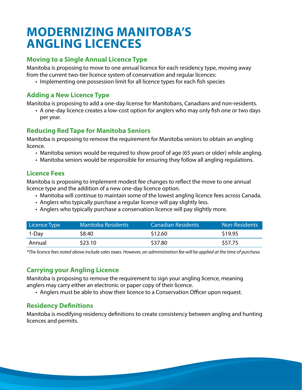# **MODERNIZING MANITOBA'S ANGLING LICENCES**

### **Moving to a Single Annual Licence Type**

Manitoba is proposing to move to one annual licence for each residency type, moving away from the current two-tier licence system of conservation and regular licences:

• Implementing one possession limit for all licence types for each fish species

### **Adding a New Licence Type**

Manitoba is proposing to add a one-day license for Manitobans, Canadians and non-residents.

• A one-day licence creates a low-cost option for anglers who may only fish one or two days per year.

### **Reducing Red Tape for Manitoba Seniors**

Manitoba is proposing to remove the requirement for Manitoba seniors to obtain an angling licence.

- Manitoba seniors would be required to show proof of age (65 years or older) while angling.
- Manitoba seniors would be responsible for ensuring they follow all angling regulations.

#### **Licence Fees**

Manitoba is proposing to implement modest fee changes to reflect the move to one annual licence type and the addition of a new one-day licence option.

- Manitoba will continue to maintain some of the lowest angling licence fees across Canada.
- Anglers who typically purchase a regular licence will pay slightly less.
- Anglers who typically purchase a conservation licence will pay slightly more.

| Licence Type | <b>Manitoba Residents</b> | <b>Canadian Residents</b> | <b>Non-Residents</b> |
|--------------|---------------------------|---------------------------|----------------------|
| 1-Day        | \$8.40                    | \$12.60                   | \$19.95              |
| Annual       | \$23.10                   | \$37.80                   | \$57.75              |

*\*The licence fees noted above include sales taxes. However, an administration fee will be applied at the time of purchase.*

### **Carrying your Angling Licence**

Manitoba is proposing to remove the requirement to sign your angling licence, meaning anglers may carry either an electronic or paper copy of their licence.

• Anglers must be able to show their licence to a Conservation Officer upon request.

### **Residency Definitions**

Manitoba is modifying residency definitions to create consistency between angling and hunting licences and permits.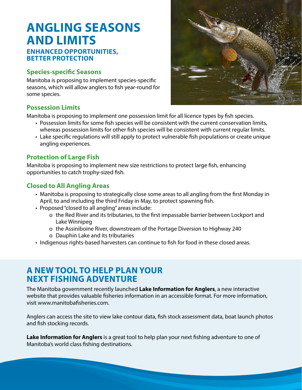### **ANGLING SEASONS AND LIMITS ENHANCED OPPORTUNITIES,**

#### **BETTER PROTECTION**

#### **Species-specific Seasons**

Manitoba is proposing to implement species-specific seasons, which will allow anglers to fish year-round for some species.

#### **Possession Limits**

Manitoba is proposing to implement one possession limit for all licence types by fish species.

- Possession limits for some fish species will be consistent with the current conservation limits, whereas possession limits for other fish species will be consistent with current regular limits.
- Lake specific regulations will still apply to protect vulnerable fish populations or create unique angling experiences.

#### **Protection of Large Fish**

Manitoba is proposing to implement new size restrictions to protect large fish, enhancing opportunities to catch trophy-sized fish.

#### **Closed to All Angling Areas**

- Manitoba is proposing to strategically close some areas to all angling from the first Monday in April, to and including the third Friday in May, to protect spawning fish.
- Proposed "closed to all angling" areas include:
	- o the Red River and its tributaries, to the first impassable barrier between Lockport and Lake Winnipeg
	- o the Assiniboine River, downstream of the Portage Diversion to Highway 240
	- o Dauphin Lake and its tributaries
- Indigenous rights-based harvesters can continue to fish for food in these closed areas.

### **A NEW TOOL TO HELP PLAN YOUR NEXT FISHING ADVENTURE**

The Manitoba government recently launched **Lake Information for Anglers**, a new interactive website that provides valuable fisheries information in an accessible format. For more information, visit www.manitobafisheries.com.

Anglers can access the site to view lake contour data, fish stock assessment data, boat launch photos and fish stocking records.

**Lake Information for Anglers** is a great tool to help plan your next fishing adventure to one of Manitoba's world class fishing destinations.

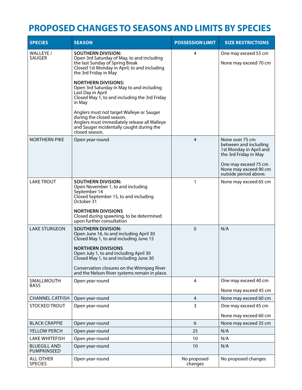### **PROPOSED CHANGES TO SEASONS AND LIMITS BY SPECIES**

| <b>SPECIES</b>                            | <b>SEASON</b>                                                                                                                                                                         | <b>POSSESSION LIMIT</b> | <b>SIZE RESTRICTIONS</b>                                                                     |
|-------------------------------------------|---------------------------------------------------------------------------------------------------------------------------------------------------------------------------------------|-------------------------|----------------------------------------------------------------------------------------------|
| WALLEYE /<br><b>SAUGER</b>                | <b>SOUTHERN DIVISION:</b><br>Open 3rd Saturday of May, to and including<br>the last Sunday of Spring Break<br>Closed 1st Monday in April, to and including<br>the 3rd Friday in May   | 4                       | One may exceed 55 cm<br>None may exceed 70 cm                                                |
|                                           | <b>NORTHERN DIVISIONS:</b><br>Open 3rd Saturday in May to and including<br>Last Day in April<br>Closed May 1, to and including the 3rd Friday<br>in May                               |                         |                                                                                              |
|                                           | Anglers must not target Walleye or Sauger<br>during the closed season.<br>Anglers must immediately release all Walleye<br>and Sauger incidentally caught during the<br>closed season. |                         |                                                                                              |
| <b>NORTHERN PIKE</b>                      | Open year-round                                                                                                                                                                       | 4                       | None over 75 cm<br>between and including<br>1st Monday in April and<br>the 3rd Friday in May |
|                                           |                                                                                                                                                                                       |                         | One may exceed 75 cm<br>None may exceed 90 cm<br>outside period above.                       |
| <b>LAKE TROUT</b>                         | <b>SOUTHERN DIVISION:</b><br>Open November 1, to and including<br>September 14<br>Closed September 15, to and including<br>October 31                                                 | $\mathbf{1}$            | None may exceed 65 cm                                                                        |
|                                           | <b>NORTHERN DIVISIONS</b><br>Closed during spawning, to be determined<br>upon further consultation                                                                                    |                         |                                                                                              |
| <b>LAKE STURGEON</b>                      | <b>SOUTHERN DIVISION:</b><br>Open June 16, to and including April 30<br>Closed May 1, to and including June 15                                                                        | $\Omega$                | N/A                                                                                          |
|                                           | <b>NORTHERN DIVISIONS</b><br>Open July 1, to and including April 30<br>Closed May 1, to and including June 30                                                                         |                         |                                                                                              |
|                                           | Conservation closures on the Winnipeg River<br>and the Nelson River systems remain in place.                                                                                          |                         |                                                                                              |
| SMALLMOUTH<br><b>BASS</b>                 | Open year-round                                                                                                                                                                       | 4                       | One may exceed 40 cm                                                                         |
|                                           |                                                                                                                                                                                       |                         | None may exceed 45 cm                                                                        |
| <b>CHANNEL CATFISH</b>                    | Open year-round                                                                                                                                                                       | 4                       | None may exceed 60 cm                                                                        |
| STOCKED TROUT                             | Open year-round                                                                                                                                                                       | 3                       | One may exceed 45 cm                                                                         |
|                                           |                                                                                                                                                                                       |                         | None may exceed 60 cm                                                                        |
| <b>BLACK CRAPPIE</b>                      | Open year-round                                                                                                                                                                       | 6                       | None may exceed 35 cm                                                                        |
| YELLOW PERCH                              | Open year-round                                                                                                                                                                       | 25                      | N/A                                                                                          |
| <b>LAKE WHITEFISH</b>                     | Open year-round                                                                                                                                                                       | 10                      | N/A                                                                                          |
| <b>BLUEGILL AND</b><br><b>PUMPKINSEED</b> | Open year-round                                                                                                                                                                       | 10                      | N/A                                                                                          |
| <b>ALL OTHER</b><br><b>SPECIES</b>        | Open year-round                                                                                                                                                                       | No proposed<br>changes  | No proposed changes                                                                          |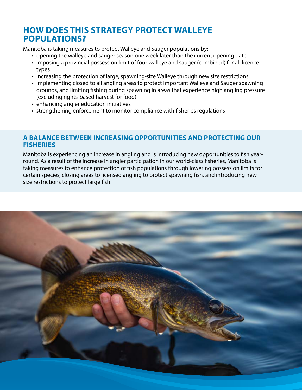### **HOW DOES THIS STRATEGY PROTECT WALLEYE POPULATIONS?**

Manitoba is taking measures to protect Walleye and Sauger populations by:

- opening the walleye and sauger season one week later than the current opening date
- imposing a provincial possession limit of four walleye and sauger (combined) for all licence types
- increasing the protection of large, spawning-size Walleye through new size restrictions
- implementing closed to all angling areas to protect important Walleye and Sauger spawning grounds, and limiting fishing during spawning in areas that experience high angling pressure (excluding rights-based harvest for food)
- enhancing angler education initiatives
- strengthening enforcement to monitor compliance with fisheries regulations

### **A BALANCE BETWEEN INCREASING OPPORTUNITIES AND PROTECTING OUR FISHERIES**

Manitoba is experiencing an increase in angling and is introducing new opportunities to fish yearround. As a result of the increase in angler participation in our world-class fisheries, Manitoba is taking measures to enhance protection of fish populations through lowering possession limits for certain species, closing areas to licensed angling to protect spawning fish, and introducing new size restrictions to protect large fish.

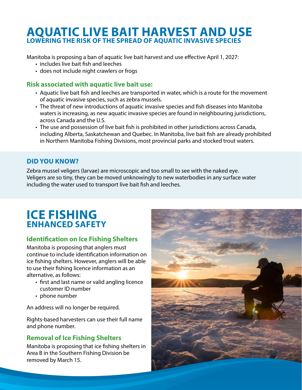### **AQUATIC LIVE BAIT HARVEST AND USE LOWERING THE RISK OF THE SPREAD OF AQUATIC INVASIVE SPECIES**

Manitoba is proposing a ban of aquatic live bait harvest and use effective April 1, 2027:

- includes live bait fish and leeches
- does not include night crawlers or frogs

### **Risk associated with aquatic live bait use:**

- Aquatic live bait fish and leeches are transported in water, which is a route for the movement of aquatic invasive species, such as zebra mussels.
- The threat of new introductions of aquatic invasive species and fish diseases into Manitoba waters is increasing, as new aquatic invasive species are found in neighbouring jurisdictions, across Canada and the U.S.
- The use and possession of live bait fish is prohibited in other jurisdictions across Canada, including Alberta, Saskatchewan and Quebec. In Manitoba, live bait fish are already prohibited in Northern Manitoba Fishing Divisions, most provincial parks and stocked trout waters.

### **DID YOU KNOW?**

Zebra mussel veligers (larvae) are microscopic and too small to see with the naked eye. Veligers are so tiny, they can be moved unknowingly to new waterbodies in any surface water including the water used to transport live bait fish and leeches.

### **ICE FISHING ENHANCED SAFETY**

### **Identification on Ice Fishing Shelters**

Manitoba is proposing that anglers must continue to include identification information on ice fishing shelters. However, anglers will be able to use their fishing licence information as an alternative, as follows:

- first and last name or valid angling licence customer ID number
- phone number

An address will no longer be required.

Rights-based harvesters can use their full name and phone number.

### **Removal of Ice Fishing Shelters**

Manitoba is proposing that ice fishing shelters in Area B in the Southern Fishing Division be removed by March 15.